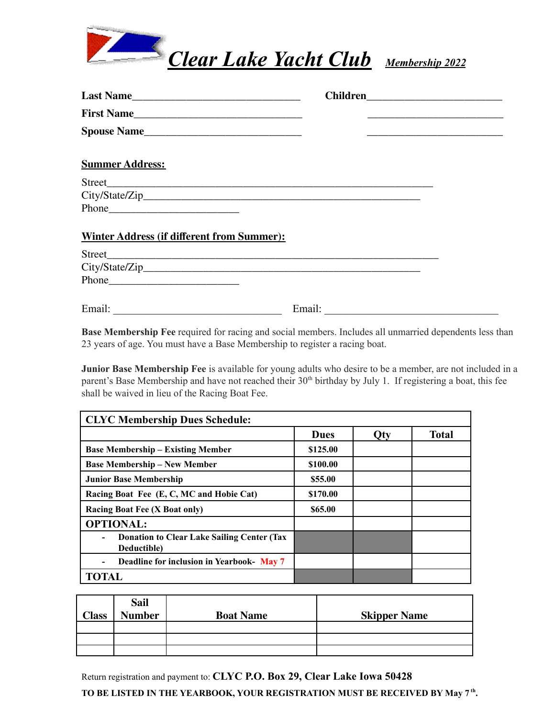

| Last Name                                         |        |
|---------------------------------------------------|--------|
| First Name                                        |        |
| Spouse Name                                       |        |
| <b>Summer Address:</b>                            |        |
|                                                   |        |
|                                                   |        |
| Phone                                             |        |
| <b>Winter Address (if different from Summer):</b> |        |
|                                                   |        |
|                                                   |        |
|                                                   |        |
| Email:                                            | Email: |

**Base Membership Fee** required for racing and social members. Includes all unmarried dependents less than 23 years of age. You must have a Base Membership to register a racing boat.

**Junior Base Membership Fee** is available for young adults who desire to be a member, are not included in a parent's Base Membership and have not reached their 30<sup>th</sup> birthday by July 1. If registering a boat, this fee shall be waived in lieu of the Racing Boat Fee.

| <b>CLYC Membership Dues Schedule:</b>                            |             |     |              |  |
|------------------------------------------------------------------|-------------|-----|--------------|--|
|                                                                  | <b>Dues</b> | Qty | <b>Total</b> |  |
| <b>Base Membership – Existing Member</b>                         | \$125.00    |     |              |  |
| <b>Base Membership – New Member</b>                              | \$100.00    |     |              |  |
| <b>Junior Base Membership</b>                                    | \$55.00     |     |              |  |
| Racing Boat Fee (E, C, MC and Hobie Cat)                         | \$170.00    |     |              |  |
| <b>Racing Boat Fee (X Boat only)</b>                             | \$65.00     |     |              |  |
| <b>OPTIONAL:</b>                                                 |             |     |              |  |
| <b>Donation to Clear Lake Sailing Center (Tax</b><br>Deductible) |             |     |              |  |
| <b>Deadline for inclusion in Yearbook-May 7</b>                  |             |     |              |  |
| <b>TOTAL</b>                                                     |             |     |              |  |

| <b>Class</b> | <b>Sail</b><br><b>Number</b> | <b>Boat Name</b> | <b>Skipper Name</b> |
|--------------|------------------------------|------------------|---------------------|
|              |                              |                  |                     |
|              |                              |                  |                     |
|              |                              |                  |                     |

Return registration and payment to: **CLYC P.O. Box 29, Clear Lake Iowa 50428**

**TO BE LISTED IN THE YEARBOOK, YOUR REGISTRATION MUST BE RECEIVED BY May 7 th .**